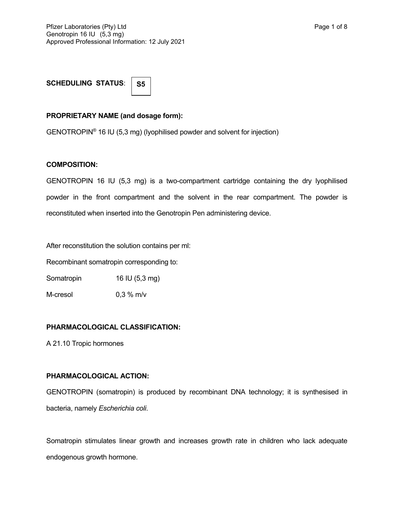**SCHEDULING STATUS**:

**S5**

### **PROPRIETARY NAME (and dosage form):**

GENOTROPIN® 16 IU (5,3 mg) (lyophilised powder and solvent for injection)

#### **COMPOSITION:**

GENOTROPIN 16 IU (5,3 mg) is a two-compartment cartridge containing the dry lyophilised powder in the front compartment and the solvent in the rear compartment. The powder is reconstituted when inserted into the Genotropin Pen administering device.

After reconstitution the solution contains per ml:

Recombinant somatropin corresponding to:

Somatropin 16 IU (5,3 mg)

M-cresol 0,3 % m/v

## **PHARMACOLOGICAL CLASSIFICATION:**

A 21.10 Tropic hormones

#### **PHARMACOLOGICAL ACTION:**

GENOTROPIN (somatropin) is produced by recombinant DNA technology; it is synthesised in bacteria, namely *Escherichia coli*.

Somatropin stimulates linear growth and increases growth rate in children who lack adequate endogenous growth hormone.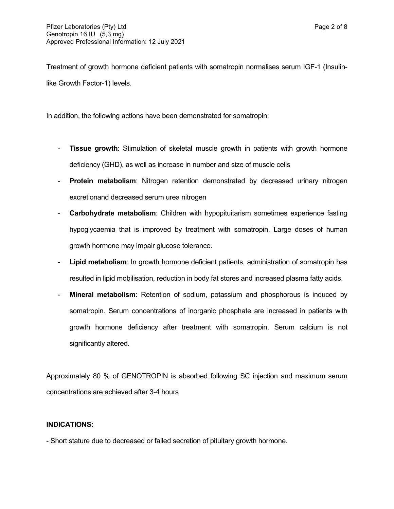Treatment of growth hormone deficient patients with somatropin normalises serum IGF-1 (Insulinlike Growth Factor-1) levels.

In addition, the following actions have been demonstrated for somatropin:

- **Tissue growth**: Stimulation of skeletal muscle growth in patients with growth hormone deficiency (GHD), as well as increase in number and size of muscle cells
- **Protein metabolism**: Nitrogen retention demonstrated by decreased urinary nitrogen excretionand decreased serum urea nitrogen
- **Carbohydrate metabolism**: Children with hypopituitarism sometimes experience fasting hypoglycaemia that is improved by treatment with somatropin. Large doses of human growth hormone may impair glucose tolerance.
- **Lipid metabolism**: In growth hormone deficient patients, administration of somatropin has resulted in lipid mobilisation, reduction in body fat stores and increased plasma fatty acids.
- **Mineral metabolism**: Retention of sodium, potassium and phosphorous is induced by somatropin. Serum concentrations of inorganic phosphate are increased in patients with growth hormone deficiency after treatment with somatropin. Serum calcium is not significantly altered.

Approximately 80 % of GENOTROPIN is absorbed following SC injection and maximum serum concentrations are achieved after 3-4 hours

## **INDICATIONS:**

- Short stature due to decreased or failed secretion of pituitary growth hormone.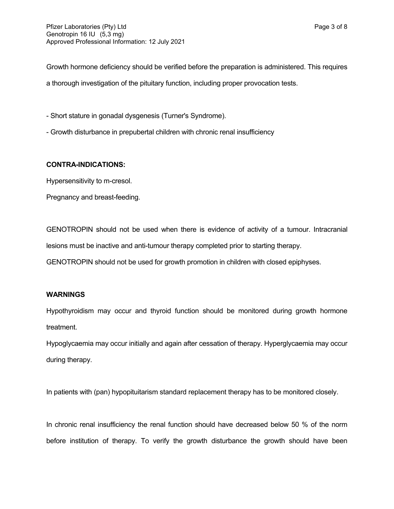Growth hormone deficiency should be verified before the preparation is administered. This requires a thorough investigation of the pituitary function, including proper provocation tests.

- Short stature in gonadal dysgenesis (Turner's Syndrome).

- Growth disturbance in prepubertal children with chronic renal insufficiency

## **CONTRA-INDICATIONS:**

Hypersensitivity to m-cresol.

Pregnancy and breast-feeding.

GENOTROPIN should not be used when there is evidence of activity of a tumour. Intracranial lesions must be inactive and anti-tumour therapy completed prior to starting therapy.

GENOTROPIN should not be used for growth promotion in children with closed epiphyses.

## **WARNINGS**

Hypothyroidism may occur and thyroid function should be monitored during growth hormone treatment.

Hypoglycaemia may occur initially and again after cessation of therapy. Hyperglycaemia may occur during therapy.

In patients with (pan) hypopituitarism standard replacement therapy has to be monitored closely.

In chronic renal insufficiency the renal function should have decreased below 50 % of the norm before institution of therapy. To verify the growth disturbance the growth should have been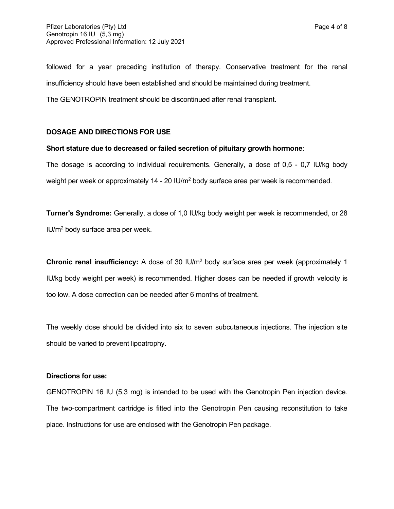followed for a year preceding institution of therapy. Conservative treatment for the renal insufficiency should have been established and should be maintained during treatment.

The GENOTROPIN treatment should be discontinued after renal transplant.

### **DOSAGE AND DIRECTIONS FOR USE**

### **Short stature due to decreased or failed secretion of pituitary growth hormone**:

The dosage is according to individual requirements. Generally, a dose of 0,5 - 0,7 IU/kg body weight per week or approximately 14 - 20 IU/m<sup>2</sup> body surface area per week is recommended.

**Turner's Syndrome:** Generally, a dose of 1,0 IU/kg body weight per week is recommended, or 28 IU/m<sup>2</sup> body surface area per week.

**Chronic renal insufficiency:** A dose of 30 IU/m<sup>2</sup> body surface area per week (approximately 1 IU/kg body weight per week) is recommended. Higher doses can be needed if growth velocity is too low. A dose correction can be needed after 6 months of treatment.

The weekly dose should be divided into six to seven subcutaneous injections. The injection site should be varied to prevent lipoatrophy.

#### **Directions for use:**

GENOTROPIN 16 IU (5,3 mg) is intended to be used with the Genotropin Pen injection device. The two-compartment cartridge is fitted into the Genotropin Pen causing reconstitution to take place. Instructions for use are enclosed with the Genotropin Pen package.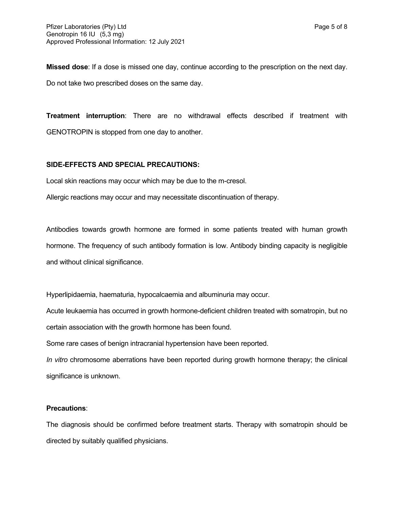**Missed dose**: If a dose is missed one day, continue according to the prescription on the next day. Do not take two prescribed doses on the same day.

**Treatment interruption**: There are no withdrawal effects described if treatment with GENOTROPIN is stopped from one day to another.

#### **SIDE-EFFECTS AND SPECIAL PRECAUTIONS:**

Local skin reactions may occur which may be due to the m-cresol.

Allergic reactions may occur and may necessitate discontinuation of therapy.

Antibodies towards growth hormone are formed in some patients treated with human growth hormone. The frequency of such antibody formation is low. Antibody binding capacity is negligible and without clinical significance.

Hyperlipidaemia, haematuria, hypocalcaemia and albuminuria may occur.

Acute leukaemia has occurred in growth hormone-deficient children treated with somatropin, but no certain association with the growth hormone has been found.

Some rare cases of benign intracranial hypertension have been reported.

*In vitro* chromosome aberrations have been reported during growth hormone therapy; the clinical significance is unknown.

#### **Precautions**:

The diagnosis should be confirmed before treatment starts. Therapy with somatropin should be directed by suitably qualified physicians.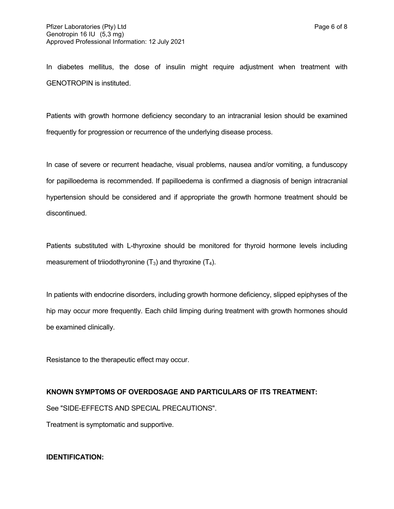In diabetes mellitus, the dose of insulin might require adjustment when treatment with GENOTROPIN is instituted.

Patients with growth hormone deficiency secondary to an intracranial lesion should be examined frequently for progression or recurrence of the underlying disease process.

In case of severe or recurrent headache, visual problems, nausea and/or vomiting, a funduscopy for papilloedema is recommended. If papilloedema is confirmed a diagnosis of benign intracranial hypertension should be considered and if appropriate the growth hormone treatment should be discontinued.

Patients substituted with L-thyroxine should be monitored for thyroid hormone levels including measurement of triiodothyronine  $(T_3)$  and thyroxine  $(T_4)$ .

In patients with endocrine disorders, including growth hormone deficiency, slipped epiphyses of the hip may occur more frequently. Each child limping during treatment with growth hormones should be examined clinically.

Resistance to the therapeutic effect may occur.

#### **KNOWN SYMPTOMS OF OVERDOSAGE AND PARTICULARS OF ITS TREATMENT:**

See "SIDE-EFFECTS AND SPECIAL PRECAUTIONS".

Treatment is symptomatic and supportive.

#### **IDENTIFICATION:**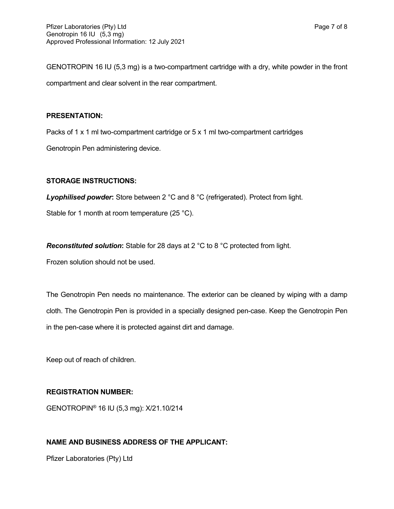GENOTROPIN 16 IU (5,3 mg) is a two-compartment cartridge with a dry, white powder in the front compartment and clear solvent in the rear compartment.

### **PRESENTATION:**

Packs of 1 x 1 ml two-compartment cartridge or 5 x 1 ml two-compartment cartridges

Genotropin Pen administering device.

## **STORAGE INSTRUCTIONS:**

*Lyophilised powder***:** Store between 2 °C and 8 °C (refrigerated). Protect from light.

Stable for 1 month at room temperature (25 °C).

*Reconstituted solution***:** Stable for 28 days at 2 °C to 8 °C protected from light.

Frozen solution should not be used.

The Genotropin Pen needs no maintenance. The exterior can be cleaned by wiping with a damp cloth. The Genotropin Pen is provided in a specially designed pen-case. Keep the Genotropin Pen in the pen-case where it is protected against dirt and damage.

Keep out of reach of children.

## **REGISTRATION NUMBER:**

GENOTROPIN® 16 IU (5,3 mg): X/21.10/214

## **NAME AND BUSINESS ADDRESS OF THE APPLICANT:**

Pfizer Laboratories (Pty) Ltd